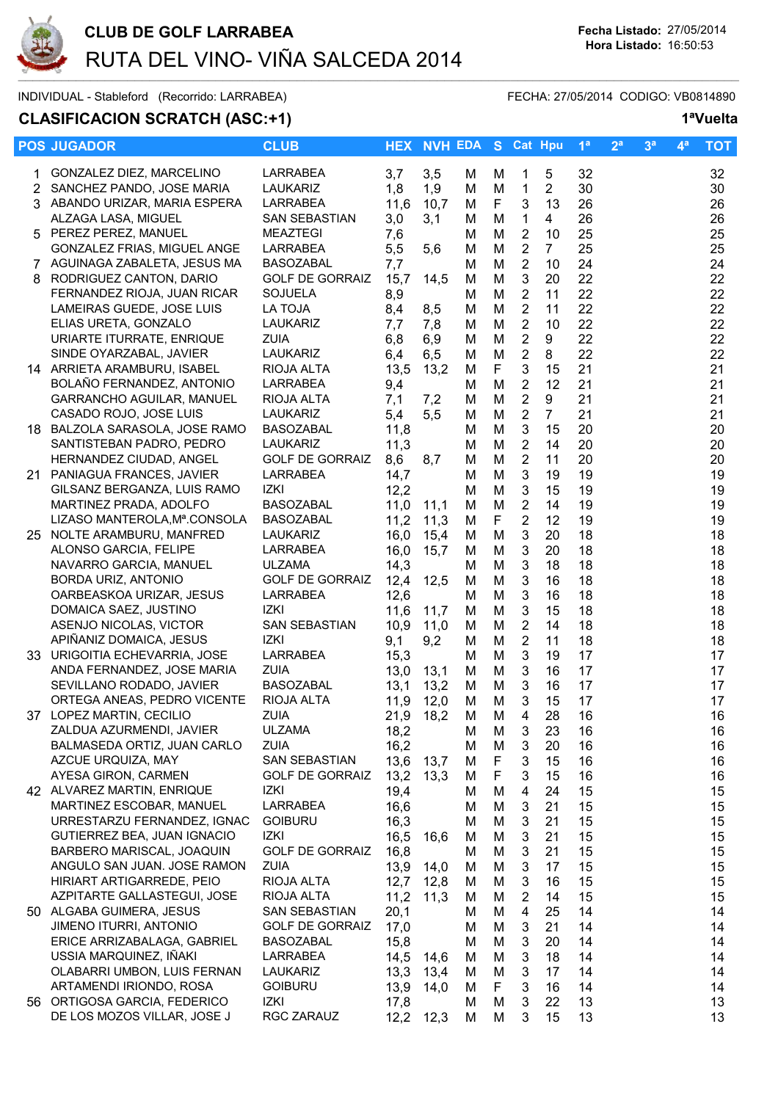

INDIVIDUAL - Stableford (Recorrido: LARRABEA) FECHA: 27/05/2014 CODIGO: VB0814890

**CLASIFICACION SCRATCH (ASC:+1) 1ªVuelta**

|    | <b>POS JUGADOR</b>                                       | <b>CLUB</b>                           | <b>HEX</b>   | <b>NVH EDA</b> |        |        | S Cat Hpu                  |                | 1 <sup>a</sup> | 2 <sup>a</sup> | 3 <sup>a</sup> | $4^a$ | <b>TOT</b> |
|----|----------------------------------------------------------|---------------------------------------|--------------|----------------|--------|--------|----------------------------|----------------|----------------|----------------|----------------|-------|------------|
|    | GONZALEZ DIEZ, MARCELINO                                 | <b>LARRABEA</b>                       | 3,7          | 3,5            | M      | м      | 1                          | 5              | 32             |                |                |       | 32         |
| 2  | SANCHEZ PANDO, JOSE MARIA                                | LAUKARIZ                              | 1,8          | 1,9            | M      | M      | $\mathbf{1}$               | $\overline{2}$ | 30             |                |                |       | 30         |
|    | 3 ABANDO URIZAR, MARIA ESPERA                            | LARRABEA                              | 11,6         | 10,7           | M      | F      | $\sqrt{3}$                 | 13             | 26             |                |                |       | 26         |
|    | ALZAGA LASA, MIGUEL                                      | SAN SEBASTIAN                         | 3,0          | 3,1            | M      | M      | $\mathbf{1}$               | $\overline{4}$ | 26             |                |                |       | 26         |
|    | 5 PEREZ PEREZ, MANUEL                                    | <b>MEAZTEGI</b>                       | 7,6          |                | м      | M      | $\sqrt{2}$                 | 10             | 25             |                |                |       | 25         |
|    | GONZALEZ FRIAS, MIGUEL ANGE                              | LARRABEA                              | 5,5          | 5,6            | м      | M      | $\sqrt{2}$                 | $\overline{7}$ | 25             |                |                |       | 25         |
|    | 7 AGUINAGA ZABALETA, JESUS MA                            | <b>BASOZABAL</b>                      | 7,7          |                | м      | M      | $\sqrt{2}$                 | 10             | 24             |                |                |       | 24         |
| 8. | RODRIGUEZ CANTON, DARIO                                  | <b>GOLF DE GORRAIZ</b>                | 15,7         | 14,5           | м      | M      | $\mathbf{3}$               | 20             | 22             |                |                |       | 22         |
|    | FERNANDEZ RIOJA, JUAN RICAR                              | <b>SOJUELA</b>                        | 8,9          |                | м      | M      | $\overline{2}$             | 11             | 22             |                |                |       | 22         |
|    | LAMEIRAS GUEDE, JOSE LUIS                                | LA TOJA                               | 8,4          | 8,5            | M      | M      | $\overline{2}$             | 11             | 22             |                |                |       | 22         |
|    | ELIAS URETA, GONZALO                                     | LAUKARIZ                              | 7,7          | 7,8            | м      | M      | $\sqrt{2}$                 | 10             | 22             |                |                |       | 22         |
|    | URIARTE ITURRATE, ENRIQUE                                | <b>ZUIA</b>                           | 6,8          | 6,9            | M      | M      | $\overline{2}$             | 9              | 22             |                |                |       | 22         |
|    | SINDE OYARZABAL, JAVIER                                  | LAUKARIZ                              | 6,4          | 6,5            | M      | M      | $\overline{2}$             | 8              | 22             |                |                |       | 22         |
|    | 14 ARRIETA ARAMBURU, ISABEL                              | RIOJA ALTA                            | 13,5         | 13,2           | M      | F      | $\ensuremath{\mathsf{3}}$  | 15             | 21             |                |                |       | 21         |
|    | BOLAÑO FERNANDEZ, ANTONIO                                | LARRABEA                              | 9,4          |                | м      | M      | $\overline{2}$             | 12             | 21             |                |                |       | 21         |
|    | GARRANCHO AGUILAR, MANUEL                                | RIOJA ALTA                            | 7,1          | 7,2            | м      | M      | $\mathbf 2$                | 9              | 21             |                |                |       | 21         |
|    | CASADO ROJO, JOSE LUIS                                   | LAUKARIZ                              | 5,4          | 5,5            | м      | M      | $\sqrt{2}$                 | $\overline{7}$ | 21             |                |                |       | 21         |
|    | 18 BALZOLA SARASOLA, JOSE RAMO                           | <b>BASOZABAL</b>                      | 11,8         |                | M      | M      | $\ensuremath{\mathsf{3}}$  | 15             | 20             |                |                |       | 20         |
|    | SANTISTEBAN PADRO, PEDRO                                 | <b>LAUKARIZ</b>                       | 11,3         |                | м      | M      | $\overline{2}$             | 14             | 20             |                |                |       | 20         |
|    | HERNANDEZ CIUDAD, ANGEL                                  | <b>GOLF DE GORRAIZ</b>                | 8,6          | 8,7            | м      | M      | $\overline{2}$             | 11             | 20             |                |                |       | 20         |
|    | 21 PANIAGUA FRANCES, JAVIER                              | LARRABEA                              | 14,7         |                | M      | M      | $\mathbf{3}$               | 19             | 19             |                |                |       | 19         |
|    | GILSANZ BERGANZA, LUIS RAMO                              | IZKI                                  | 12,2         |                | м      | M      | $\mathbf{3}$               | 15             | 19             |                |                |       | 19         |
|    | MARTINEZ PRADA, ADOLFO                                   | <b>BASOZABAL</b>                      | 11,0         | 11,1           | M      | M      | $\overline{2}$             | 14             | 19             |                |                |       | 19         |
|    | LIZASO MANTEROLA, Mª.CONSOLA                             | BASOZABAL                             | 11,2         | 11,3           | M      | F      | $\sqrt{2}$                 | 12             | 19             |                |                |       | 19         |
|    | 25 NOLTE ARAMBURU, MANFRED                               | LAUKARIZ                              | 16,0         | 15,4           | M      | M      | $\sqrt{3}$<br>$\mathbf{3}$ | 20             | 18             |                |                |       | 18         |
|    | ALONSO GARCIA, FELIPE<br>NAVARRO GARCIA, MANUEL          | LARRABEA<br><b>ULZAMA</b>             | 16,0         | 15,7           | M      | M<br>M | $\mathbf{3}$               | 20<br>18       | 18<br>18       |                |                |       | 18<br>18   |
|    | BORDA URIZ, ANTONIO                                      | <b>GOLF DE GORRAIZ</b>                | 14,3<br>12,4 | 12,5           | м<br>м | M      | $\ensuremath{\mathsf{3}}$  | 16             | 18             |                |                |       | 18         |
|    | OARBEASKOA URIZAR, JESUS                                 | LARRABEA                              | 12,6         |                | м      | M      | $\mathbf{3}$               | 16             | 18             |                |                |       | 18         |
|    | DOMAICA SAEZ, JUSTINO                                    | IZKI                                  | 11,6         | 11,7           | м      | M      | $\ensuremath{\mathsf{3}}$  | 15             | 18             |                |                |       | 18         |
|    | ASENJO NICOLAS, VICTOR                                   | SAN SEBASTIAN                         | 10,9         | 11,0           | M      | M      | $\sqrt{2}$                 | 14             | 18             |                |                |       | 18         |
|    | APIÑANIZ DOMAICA, JESUS                                  | IZKI                                  | 9,1          | 9,2            | M      | M      | $\sqrt{2}$                 | 11             | 18             |                |                |       | 18         |
|    | 33 URIGOITIA ECHEVARRIA, JOSE                            | LARRABEA                              | 15,3         |                | M      | M      | $\mathbf{3}$               | 19             | 17             |                |                |       | 17         |
|    | ANDA FERNANDEZ, JOSE MARIA                               | <b>ZUIA</b>                           | 13,0         | 13,1           | M      | M      | 3                          | 16             | 17             |                |                |       | 17         |
|    | SEVILLANO RODADO, JAVIER                                 | <b>BASOZABAL</b>                      | 13,1         | 13,2           | M      | M      | 3                          | 16             | 17             |                |                |       | 17         |
|    | ORTEGA ANEAS, PEDRO VICENTE                              | RIOJA ALTA                            | 11,9         | 12,0           | M      | M      | 3                          | 15             | 17             |                |                |       | 17         |
| 37 | LOPEZ MARTIN, CECILIO                                    | ZUIA                                  | 21,9         | 18,2           | M      | M      | 4                          | 28             | 16             |                |                |       | 16         |
|    | ZALDUA AZURMENDI, JAVIER                                 | <b>ULZAMA</b>                         | 18,2         |                | M      | M      | 3                          | 23             | 16             |                |                |       | 16         |
|    | BALMASEDA ORTIZ, JUAN CARLO                              | ZUIA                                  | 16,2         |                | м      | M      | 3                          | 20             | 16             |                |                |       | 16         |
|    | AZCUE URQUIZA, MAY                                       | SAN SEBASTIAN                         | 13,6         | 13,7           | м      | F      | $\sqrt{3}$                 | 15             | 16             |                |                |       | 16         |
|    | AYESA GIRON, CARMEN                                      | <b>GOLF DE GORRAIZ</b>                | 13,2         | 13,3           | м      | F      | $\sqrt{3}$                 | 15             | 16             |                |                |       | 16         |
|    | 42 ALVAREZ MARTIN, ENRIQUE                               | IZKI                                  | 19,4         |                | M      | M      | $\overline{4}$             | 24             | 15             |                |                |       | 15         |
|    | MARTINEZ ESCOBAR, MANUEL                                 | LARRABEA                              | 16,6         |                | м      | M      | $\sqrt{3}$                 | 21             | 15             |                |                |       | 15         |
|    | URRESTARZU FERNANDEZ, IGNAC                              | <b>GOIBURU</b>                        | 16,3         |                | м      | M      | 3                          | 21             | 15             |                |                |       | 15         |
|    | GUTIERREZ BEA, JUAN IGNACIO                              | IZKI                                  | 16,5         | 16,6           | M      | M      | $\sqrt{3}$                 | 21             | 15             |                |                |       | 15         |
|    | BARBERO MARISCAL, JOAQUIN                                | <b>GOLF DE GORRAIZ</b><br><b>ZUIA</b> | 16,8         |                | м      | M      | $\mathbf{3}$               | 21             | 15             |                |                |       | 15         |
|    | ANGULO SAN JUAN. JOSE RAMON<br>HIRIART ARTIGARREDE, PEIO | RIOJA ALTA                            | 13,9         | 14,0           | M      | M      | 3<br>3                     | 17             | 15             |                |                |       | 15         |
|    | AZPITARTE GALLASTEGUI, JOSE                              | RIOJA ALTA                            | 12,7<br>11,2 | 12,8<br>11,3   | M<br>м | M<br>M | $\overline{2}$             | 16<br>14       | 15<br>15       |                |                |       | 15<br>15   |
|    | 50 ALGABA GUIMERA, JESUS                                 | SAN SEBASTIAN                         | 20,1         |                | м      | M      | 4                          | 25             | 14             |                |                |       | 14         |
|    | JIMENO ITURRI, ANTONIO                                   | <b>GOLF DE GORRAIZ</b>                | 17,0         |                | м      | M      | 3                          | 21             | 14             |                |                |       | 14         |
|    | ERICE ARRIZABALAGA, GABRIEL                              | <b>BASOZABAL</b>                      | 15,8         |                | м      | M      | 3                          | 20             | 14             |                |                |       | 14         |
|    | USSIA MARQUINEZ, IÑAKI                                   | LARRABEA                              | 14,5         | 14,6           | м      | M      | 3                          | 18             | 14             |                |                |       | 14         |
|    | OLABARRI UMBON, LUIS FERNAN                              | LAUKARIZ                              | 13,3         | 13,4           | м      | M      | $\sqrt{3}$                 | 17             | 14             |                |                |       | 14         |
|    | ARTAMENDI IRIONDO, ROSA                                  | <b>GOIBURU</b>                        | 13,9         | 14,0           | м      | F      | 3                          | 16             | 14             |                |                |       | 14         |
|    | 56 ORTIGOSA GARCIA, FEDERICO                             | IZKI                                  | 17,8         |                | м      | M      | 3                          | 22             | 13             |                |                |       | 13         |
|    | DE LOS MOZOS VILLAR, JOSE J                              | RGC ZARAUZ                            | 12,2         | 12,3           | M      | M      | 3                          | 15             | 13             |                |                |       | 13         |